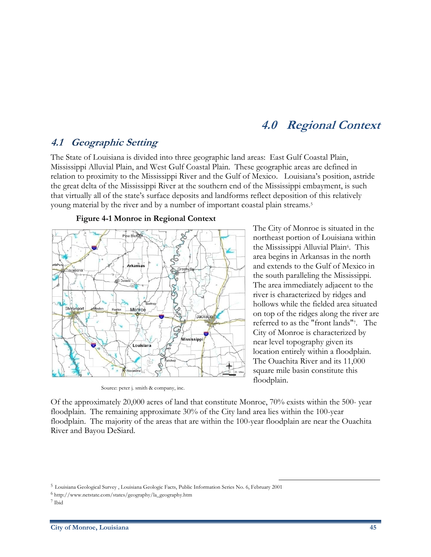# **4.0 Regional Context**

### **4.1 Geographic Setting**

The State of Louisiana is divided into three geographic land areas: East Gulf Coastal Plain, Mississippi Alluvial Plain, and West Gulf Coastal Plain. These geographic areas are defined in relation to proximity to the Mississippi River and the Gulf of Mexico. Louisiana's position, astride the great delta of the Mississippi River at the southern end of the Mississippi embayment, is such that virtually all of the state's surface deposits and landforms reflect deposition of this relatively young material by the river and by a number of important coastal plain streams.5



#### **Figure 4-1 Monroe in Regional Context**

Source: peter j. smith & company, inc.

The City of Monroe is situated in the northeast portion of Louisiana within the Mississippi Alluvial Plain<sup>6</sup>. This area begins in Arkansas in the north and extends to the Gulf of Mexico in the south paralleling the Mississippi. The area immediately adjacent to the river is characterized by ridges and hollows while the fielded area situated on top of the ridges along the river are referred to as the "front lands"7. The City of Monroe is characterized by near level topography given its location entirely within a floodplain. The Ouachita River and its 11,000 square mile basin constitute this floodplain.

 $\overline{a}$ 

Of the approximately 20,000 acres of land that constitute Monroe, 70% exists within the 500- year floodplain. The remaining approximate 30% of the City land area lies within the 100-year floodplain. The majority of the areas that are within the 100-year floodplain are near the Ouachita River and Bayou DeSiard.

<sup>5</sup> Louisiana Geological Survey , Louisiana Geologic Facts, Public Information Series No. 6, February 2001

<sup>6</sup> http://www.netstate.com/states/geography/la\_geography.htm

<sup>7</sup> Ibid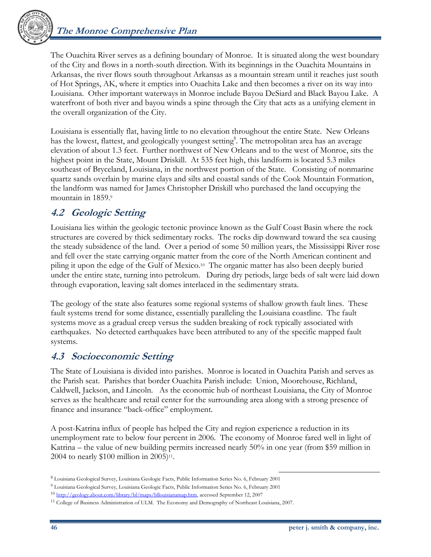

The Ouachita River serves as a defining boundary of Monroe. It is situated along the west boundary of the City and flows in a north-south direction. With its beginnings in the Ouachita Mountains in Arkansas, the river flows south throughout Arkansas as a mountain stream until it reaches just south of Hot Springs, AK, where it empties into Ouachita Lake and then becomes a river on its way into Louisiana. Other important waterways in Monroe include Bayou DeSiard and Black Bayou Lake. A waterfront of both river and bayou winds a spine through the City that acts as a unifying element in the overall organization of the City.

Louisiana is essentially flat, having little to no elevation throughout the entire State. New Orleans has the lowest, flattest, and geologically youngest setting<sup>8</sup>. The metropolitan area has an average elevation of about 1.3 feet. Further northwest of New Orleans and to the west of Monroe, sits the highest point in the State, Mount Driskill. At 535 feet high, this landform is located 5.3 miles southeast of Bryceland, Louisiana, in the northwest portion of the State. Consisting of nonmarine quartz sands overlain by marine clays and silts and coastal sands of the Cook Mountain Formation, the landform was named for James Christopher Driskill who purchased the land occupying the mountain in 1859.9

## **4.2 Geologic Setting**

Louisiana lies within the geologic tectonic province known as the Gulf Coast Basin where the rock structures are covered by thick sedimentary rocks. The rocks dip downward toward the sea causing the steady subsidence of the land. Over a period of some 50 million years, the Mississippi River rose and fell over the state carrying organic matter from the core of the North American continent and piling it upon the edge of the Gulf of Mexico.10 The organic matter has also been deeply buried under the entire state, turning into petroleum. During dry periods, large beds of salt were laid down through evaporation, leaving salt domes interlaced in the sedimentary strata.

The geology of the state also features some regional systems of shallow growth fault lines. These fault systems trend for some distance, essentially paralleling the Louisiana coastline. The fault systems move as a gradual creep versus the sudden breaking of rock typically associated with earthquakes. No detected earthquakes have been attributed to any of the specific mapped fault systems.

## **4.3 Socioeconomic Setting**

The State of Louisiana is divided into parishes. Monroe is located in Ouachita Parish and serves as the Parish seat. Parishes that border Ouachita Parish include: Union, Moorehouse, Richland, Caldwell, Jackson, and Lincoln. As the economic hub of northeast Louisiana, the City of Monroe serves as the healthcare and retail center for the surrounding area along with a strong presence of finance and insurance "back-office" employment.

A post-Katrina influx of people has helped the City and region experience a reduction in its unemployment rate to below four percent in 2006. The economy of Monroe fared well in light of Katrina – the value of new building permits increased nearly 50% in one year (from \$59 million in 2004 to nearly \$100 million in 2005)<sup>11</sup>.

 $\overline{a}$ 8 Louisiana Geological Survey, Louisiana Geologic Facts, Public Information Series No. 6, February 2001

<sup>9</sup> Louisiana Geological Survey, Louisiana Geologic Facts, Public Information Series No. 6, February 2001

<sup>10</sup> http://geology.about.com/library/bl/maps/bllouisianamap.htm, accessed September 12, 2007

<sup>11</sup> College of Business Administration of ULM. The Economy and Demography of Northeast Louisiana, 2007.